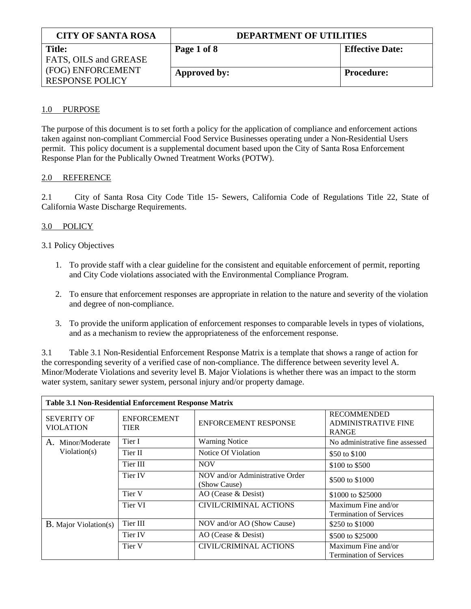| <b>CITY OF SANTA ROSA</b> | <b>DEPARTMENT OF UTILITIES</b> |                        |  |
|---------------------------|--------------------------------|------------------------|--|
| <b>Title:</b>             | Page 1 of 8                    | <b>Effective Date:</b> |  |
| FATS, OILS and GREASE     |                                |                        |  |
| (FOG) ENFORCEMENT         | Approved by:                   | <b>Procedure:</b>      |  |
| <b>RESPONSE POLICY</b>    |                                |                        |  |

# 1.0 PURPOSE

The purpose of this document is to set forth a policy for the application of compliance and enforcement actions taken against non-compliant Commercial Food Service Businesses operating under a Non-Residential Users permit. This policy document is a supplemental document based upon the City of Santa Rosa Enforcement Response Plan for the Publically Owned Treatment Works (POTW).

# 2.0 REFERENCE

2.1 City of Santa Rosa City Code Title 15- Sewers, California Code of Regulations Title 22, State of California Waste Discharge Requirements.

# 3.0 POLICY

# 3.1 Policy Objectives

- 1. To provide staff with a clear guideline for the consistent and equitable enforcement of permit, reporting and City Code violations associated with the Environmental Compliance Program.
- 2. To ensure that enforcement responses are appropriate in relation to the nature and severity of the violation and degree of non-compliance.
- 3. To provide the uniform application of enforcement responses to comparable levels in types of violations, and as a mechanism to review the appropriateness of the enforcement response.

3.1 Table 3.1 Non-Residential Enforcement Response Matrix is a template that shows a range of action for the corresponding severity of a verified case of non-compliance. The difference between severity level A. Minor/Moderate Violations and severity level B. Major Violations is whether there was an impact to the storm water system, sanitary sewer system, personal injury and/or property damage.

| <b>Table 3.1 Non-Residential Enforcement Response Matrix</b> |                                   |                                                 |                                                                  |  |  |
|--------------------------------------------------------------|-----------------------------------|-------------------------------------------------|------------------------------------------------------------------|--|--|
| <b>SEVERITY OF</b><br><b>VIOLATION</b>                       | <b>ENFORCEMENT</b><br><b>TIER</b> | <b>ENFORCEMENT RESPONSE</b>                     | <b>RECOMMENDED</b><br><b>ADMINISTRATIVE FINE</b><br><b>RANGE</b> |  |  |
| Minor/Moderate<br>Α.                                         | Tier I                            | <b>Warning Notice</b>                           | No administrative fine assessed                                  |  |  |
| Violation(s)                                                 | Tier II                           | Notice Of Violation                             | \$50 to \$100                                                    |  |  |
|                                                              | Tier III                          | <b>NOV</b>                                      | \$100 to \$500                                                   |  |  |
|                                                              | Tier IV                           | NOV and/or Administrative Order<br>(Show Cause) | \$500 to \$1000                                                  |  |  |
|                                                              | Tier V                            | AO (Cease & Desist)                             | \$1000 to \$25000                                                |  |  |
|                                                              | Tier VI                           | <b>CIVIL/CRIMINAL ACTIONS</b>                   | Maximum Fine and/or<br><b>Termination of Services</b>            |  |  |
| <b>B.</b> Major Violation(s)                                 | Tier III                          | NOV and/or AO (Show Cause)                      | \$250 to \$1000                                                  |  |  |
|                                                              | Tier IV                           | $AO$ (Cease $&$ Desist)                         | \$500 to \$25000                                                 |  |  |
|                                                              | Tier V                            | <b>CIVIL/CRIMINAL ACTIONS</b>                   | Maximum Fine and/or<br><b>Termination of Services</b>            |  |  |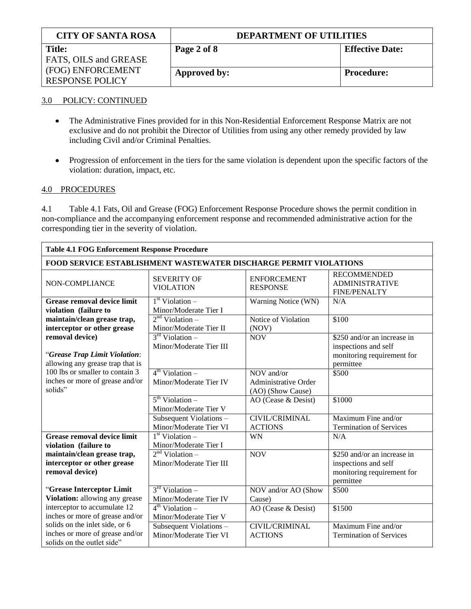| <b>CITY OF SANTA ROSA</b> | <b>DEPARTMENT OF UTILITIES</b> |                        |  |
|---------------------------|--------------------------------|------------------------|--|
| <b>Title:</b>             | Page 2 of 8                    | <b>Effective Date:</b> |  |
| FATS, OILS and GREASE     |                                |                        |  |
| (FOG) ENFORCEMENT         | Approved by:                   | <b>Procedure:</b>      |  |
| <b>RESPONSE POLICY</b>    |                                |                        |  |

# 3.0 POLICY: CONTINUED

- The Administrative Fines provided for in this Non-Residential Enforcement Response Matrix are not  $\bullet$ exclusive and do not prohibit the Director of Utilities from using any other remedy provided by law including Civil and/or Criminal Penalties.
- Progression of enforcement in the tiers for the same violation is dependent upon the specific factors of the  $\bullet$ violation: duration, impact, etc.

# 4.0 PROCEDURES

4.1 Table 4.1 Fats, Oil and Grease (FOG) Enforcement Response Procedure shows the permit condition in non-compliance and the accompanying enforcement response and recommended administrative action for the corresponding tier in the severity of violation.

| <b>Table 4.1 FOG Enforcement Response Procedure</b>                                               |                                                                                |                                                                |                                                                                                |
|---------------------------------------------------------------------------------------------------|--------------------------------------------------------------------------------|----------------------------------------------------------------|------------------------------------------------------------------------------------------------|
| FOOD SERVICE ESTABLISHMENT WASTEWATER DISCHARGE PERMIT VIOLATIONS                                 |                                                                                |                                                                |                                                                                                |
| NON-COMPLIANCE                                                                                    | <b>SEVERITY OF</b><br><b>VIOLATION</b>                                         | <b>ENFORCEMENT</b><br><b>RESPONSE</b>                          | <b>RECOMMENDED</b><br><b>ADMINISTRATIVE</b><br><b>FINE/PENALTY</b>                             |
| Grease removal device limit<br>violation (failure to                                              | 1 <sup>st</sup> Violation –<br>Minor/Moderate Tier I                           | Warning Notice (WN)                                            | N/A                                                                                            |
| maintain/clean grease trap,<br>interceptor or other grease                                        | $2nd$ Violation –<br>Minor/Moderate Tier II                                    | Notice of Violation<br>(NOV)                                   | \$100                                                                                          |
| removal device)<br>"Grease Trap Limit Violation:<br>allowing any grease trap that is              | $3rd$ Violation –<br>Minor/Moderate Tier III                                   | <b>NOV</b>                                                     | \$250 and/or an increase in<br>inspections and self<br>monitoring requirement for<br>permittee |
| 100 lbs or smaller to contain 3<br>inches or more of grease and/or<br>solids"                     | $4th$ Violation –<br>Minor/Moderate Tier IV                                    | NOV and/or<br><b>Administrative Order</b><br>(AO) (Show Cause) | \$500                                                                                          |
|                                                                                                   | $5th$ Violation –<br>Minor/Moderate Tier V                                     | AO (Cease & Desist)                                            | \$1000                                                                                         |
|                                                                                                   | Subsequent Violations -<br>Minor/Moderate Tier VI                              | CIVIL/CRIMINAL<br><b>ACTIONS</b>                               | Maximum Fine and/or<br><b>Termination of Services</b>                                          |
| <b>Grease removal device limit</b><br>violation (failure to                                       | $1st$ Violation –<br>Minor/Moderate Tier I                                     | <b>WN</b>                                                      | N/A                                                                                            |
| maintain/clean grease trap,<br>interceptor or other grease<br>removal device)                     | $2nd$ Violation –<br>Minor/Moderate Tier III                                   | <b>NOV</b>                                                     | \$250 and/or an increase in<br>inspections and self<br>monitoring requirement for<br>permittee |
| "Grease Interceptor Limit                                                                         | $3rd$ Violation –                                                              | NOV and/or AO (Show                                            | \$500                                                                                          |
| Violation: allowing any grease<br>interceptor to accumulate 12<br>inches or more of grease and/or | Minor/Moderate Tier IV<br>$4^{\text{th}}$ Violation –<br>Minor/Moderate Tier V | Cause)<br>AO (Cease & Desist)                                  | \$1500                                                                                         |
| solids on the inlet side, or 6<br>inches or more of grease and/or<br>solids on the outlet side"   | Subsequent Violations -<br>Minor/Moderate Tier VI                              | <b>CIVIL/CRIMINAL</b><br><b>ACTIONS</b>                        | Maximum Fine and/or<br><b>Termination of Services</b>                                          |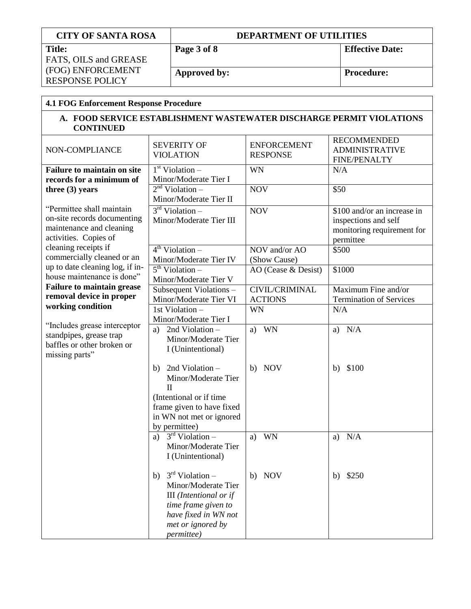| <b>CITY OF SANTA ROSA</b>                                            |             | <b>DEPARTMENT OF UTILITIES</b>                   |                                  |                                                                      |
|----------------------------------------------------------------------|-------------|--------------------------------------------------|----------------------------------|----------------------------------------------------------------------|
| <b>Title:</b>                                                        | Page 3 of 8 |                                                  |                                  | <b>Effective Date:</b>                                               |
| FATS, OILS and GREASE<br>(FOG) ENFORCEMENT<br><b>RESPONSE POLICY</b> |             |                                                  |                                  |                                                                      |
|                                                                      |             | Approved by:                                     |                                  | <b>Procedure:</b>                                                    |
|                                                                      |             |                                                  |                                  |                                                                      |
| <b>4.1 FOG Enforcement Response Procedure</b>                        |             |                                                  |                                  |                                                                      |
| <b>CONTINUED</b>                                                     |             |                                                  |                                  | A. FOOD SERVICE ESTABLISHMENT WASTEWATER DISCHARGE PERMIT VIOLATIONS |
|                                                                      |             | <b>SEVERITY OF</b>                               | <b>ENFORCEMENT</b>               | <b>RECOMMENDED</b>                                                   |
| NON-COMPLIANCE                                                       |             | <b>VIOLATION</b>                                 | <b>RESPONSE</b>                  | <b>ADMINISTRATIVE</b><br><b>FINE/PENALTY</b>                         |
| <b>Failure to maintain on site</b>                                   |             | $1st$ Violation –                                | <b>WN</b>                        | N/A                                                                  |
| records for a minimum of                                             |             | Minor/Moderate Tier I                            |                                  |                                                                      |
| three $(3)$ years                                                    |             | $2nd$ Violation –                                | <b>NOV</b>                       | \$50                                                                 |
| "Permittee shall maintain                                            |             | Minor/Moderate Tier II                           |                                  |                                                                      |
| on-site records documenting                                          |             | $3rd$ Violation –<br>Minor/Moderate Tier III     | <b>NOV</b>                       | \$100 and/or an increase in<br>inspections and self                  |
| maintenance and cleaning                                             |             |                                                  |                                  | monitoring requirement for                                           |
| activities. Copies of                                                |             |                                                  |                                  | permittee                                                            |
| cleaning receipts if                                                 |             | $4^{th}$ Violation –                             | NOV and/or AO                    | \$500                                                                |
| commercially cleaned or an                                           |             | Minor/Moderate Tier IV                           | (Show Cause)                     |                                                                      |
| up to date cleaning log, if in-<br>house maintenance is done"        |             | $5th$ Violation –                                | AO (Cease & Desist)              | \$1000                                                               |
| <b>Failure to maintain grease</b>                                    |             | Minor/Moderate Tier V                            |                                  |                                                                      |
| removal device in proper                                             |             | Subsequent Violations-<br>Minor/Moderate Tier VI | CIVIL/CRIMINAL<br><b>ACTIONS</b> | Maximum Fine and/or<br><b>Termination of Services</b>                |
| working condition                                                    |             | 1st Violation-                                   | <b>WN</b>                        | N/A                                                                  |
|                                                                      |             | Minor/Moderate Tier I                            |                                  |                                                                      |
| "Includes grease interceptor                                         | a)          | 2nd Violation-                                   | WN<br>a)                         | a) $N/A$                                                             |
| standpipes, grease trap<br>baffles or other broken or                |             | Minor/Moderate Tier                              |                                  |                                                                      |
| missing parts"                                                       |             | I (Unintentional)                                |                                  |                                                                      |
|                                                                      |             |                                                  |                                  |                                                                      |
|                                                                      |             | b) 2nd Violation $-$<br>Minor/Moderate Tier      | b) NOV                           | b) \$100                                                             |
|                                                                      | П           |                                                  |                                  |                                                                      |
|                                                                      |             | (Intentional or if time                          |                                  |                                                                      |
|                                                                      |             | frame given to have fixed                        |                                  |                                                                      |
|                                                                      |             | in WN not met or ignored                         |                                  |                                                                      |
|                                                                      |             | by permittee)                                    |                                  |                                                                      |
|                                                                      |             | a) $3rd Violation –$<br>Minor/Moderate Tier      | <b>WN</b><br>a)                  | a) $N/A$                                                             |
|                                                                      |             | I (Unintentional)                                |                                  |                                                                      |
|                                                                      | b)          | $3rd$ Violation –                                | <b>NOV</b><br>b)                 | \$250<br>b)                                                          |
|                                                                      |             | Minor/Moderate Tier                              |                                  |                                                                      |
|                                                                      |             | III (Intentional or if                           |                                  |                                                                      |
|                                                                      |             | time frame given to                              |                                  |                                                                      |
|                                                                      |             | have fixed in WN not                             |                                  |                                                                      |
|                                                                      |             | met or ignored by                                |                                  |                                                                      |

*permittee)*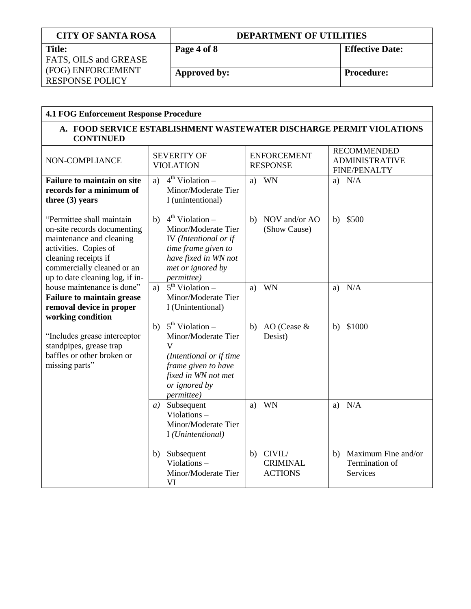| <b>CITY OF SANTA ROSA</b> | <b>DEPARTMENT OF UTILITIES</b> |                        |  |
|---------------------------|--------------------------------|------------------------|--|
| <b>Title:</b>             | Page 4 of 8                    | <b>Effective Date:</b> |  |
| FATS, OILS and GREASE     |                                |                        |  |
| (FOG) ENFORCEMENT         | Approved by:                   | <b>Procedure:</b>      |  |
| <b>RESPONSE POLICY</b>    |                                |                        |  |

| <b>4.1 FOG Enforcement Response Procedure</b>                                                                                                                                                          |                                                                                                                                                                   |                                                   |                                                                    |  |
|--------------------------------------------------------------------------------------------------------------------------------------------------------------------------------------------------------|-------------------------------------------------------------------------------------------------------------------------------------------------------------------|---------------------------------------------------|--------------------------------------------------------------------|--|
| A. FOOD SERVICE ESTABLISHMENT WASTEWATER DISCHARGE PERMIT VIOLATIONS<br><b>CONTINUED</b>                                                                                                               |                                                                                                                                                                   |                                                   |                                                                    |  |
| NON-COMPLIANCE                                                                                                                                                                                         | <b>SEVERITY OF</b><br><b>VIOLATION</b>                                                                                                                            | <b>ENFORCEMENT</b><br><b>RESPONSE</b>             | <b>RECOMMENDED</b><br><b>ADMINISTRATIVE</b><br><b>FINE/PENALTY</b> |  |
| <b>Failure to maintain on site</b><br>records for a minimum of<br>three $(3)$ years                                                                                                                    | $4th$ Violation –<br>a)<br>Minor/Moderate Tier<br>I (unintentional)                                                                                               | WN<br>a)                                          | N/A<br>a)                                                          |  |
| "Permittee shall maintain<br>on-site records documenting<br>maintenance and cleaning<br>activities. Copies of<br>cleaning receipts if<br>commercially cleaned or an<br>up to date cleaning log, if in- | $4th$ Violation –<br>b)<br>Minor/Moderate Tier<br>IV (Intentional or if<br>time frame given to<br>have fixed in WN not<br>met or ignored by<br><i>permittee</i> ) | NOV and/or AO<br>b)<br>(Show Cause)               | \$500<br>b)                                                        |  |
| house maintenance is done"<br><b>Failure to maintain grease</b><br>removal device in proper<br>working condition                                                                                       | $5th$ Violation –<br>a)<br>Minor/Moderate Tier<br>I (Unintentional)                                                                                               | WN<br>a)                                          | N/A<br>a)                                                          |  |
| "Includes grease interceptor<br>standpipes, grease trap<br>baffles or other broken or<br>missing parts"                                                                                                | $5th$ Violation –<br>b)<br>Minor/Moderate Tier<br>V<br>(Intentional or if time<br>frame given to have<br>fixed in WN not met<br>or ignored by<br>permittee)       | AO (Cease &<br>b)<br>Desist)                      | \$1000<br>b)                                                       |  |
|                                                                                                                                                                                                        | Subsequent<br>a)<br>Violations-<br>Minor/Moderate Tier<br>I (Unintentional)                                                                                       | WN<br>a)                                          | N/A<br>a)                                                          |  |
|                                                                                                                                                                                                        | Subsequent<br>b)<br>Violations-<br>Minor/Moderate Tier<br>VI                                                                                                      | CIVIL/<br>b)<br><b>CRIMINAL</b><br><b>ACTIONS</b> | Maximum Fine and/or<br>b)<br>Termination of<br>Services            |  |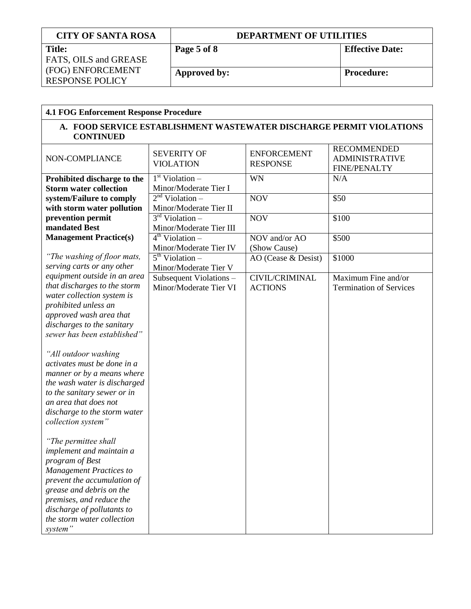| <b>CITY OF SANTA ROSA</b>    | <b>DEPARTMENT OF UTILITIES</b> |                        |  |
|------------------------------|--------------------------------|------------------------|--|
| <b>Title:</b>                | Page 5 of 8                    | <b>Effective Date:</b> |  |
| <b>FATS, OILS and GREASE</b> |                                |                        |  |
| (FOG) ENFORCEMENT            | Approved by:                   | <b>Procedure:</b>      |  |
| <b>RESPONSE POLICY</b>       |                                |                        |  |

| <b>4.1 FOG Enforcement Response Procedure</b>                                                                                                                                                                                                                       |                                        |                                       |                                                                    |  |  |
|---------------------------------------------------------------------------------------------------------------------------------------------------------------------------------------------------------------------------------------------------------------------|----------------------------------------|---------------------------------------|--------------------------------------------------------------------|--|--|
| A. FOOD SERVICE ESTABLISHMENT WASTEWATER DISCHARGE PERMIT VIOLATIONS<br><b>CONTINUED</b>                                                                                                                                                                            |                                        |                                       |                                                                    |  |  |
| NON-COMPLIANCE                                                                                                                                                                                                                                                      | <b>SEVERITY OF</b><br><b>VIOLATION</b> | <b>ENFORCEMENT</b><br><b>RESPONSE</b> | <b>RECOMMENDED</b><br><b>ADMINISTRATIVE</b><br><b>FINE/PENALTY</b> |  |  |
| Prohibited discharge to the                                                                                                                                                                                                                                         | $1st$ Violation –                      | WN                                    | N/A                                                                |  |  |
| <b>Storm water collection</b>                                                                                                                                                                                                                                       | Minor/Moderate Tier I                  |                                       |                                                                    |  |  |
| system/Failure to comply                                                                                                                                                                                                                                            | $2nd$ Violation –                      | <b>NOV</b>                            | \$50                                                               |  |  |
| with storm water pollution                                                                                                                                                                                                                                          | Minor/Moderate Tier II                 |                                       |                                                                    |  |  |
| prevention permit                                                                                                                                                                                                                                                   | $3rd$ Violation –                      | <b>NOV</b>                            | \$100                                                              |  |  |
| mandated Best                                                                                                                                                                                                                                                       | Minor/Moderate Tier III                |                                       |                                                                    |  |  |
| <b>Management Practice(s)</b>                                                                                                                                                                                                                                       | $4th$ Violation –                      | NOV and/or AO                         | \$500                                                              |  |  |
|                                                                                                                                                                                                                                                                     | Minor/Moderate Tier IV                 | (Show Cause)                          |                                                                    |  |  |
| "The washing of floor mats,                                                                                                                                                                                                                                         | $5th$ Violation –                      | AO (Cease & Desist)                   | \$1000                                                             |  |  |
| serving carts or any other                                                                                                                                                                                                                                          | Minor/Moderate Tier V                  |                                       |                                                                    |  |  |
| equipment outside in an area<br>that discharges to the storm                                                                                                                                                                                                        | Subsequent Violations -                | CIVIL/CRIMINAL                        | Maximum Fine and/or                                                |  |  |
| water collection system is                                                                                                                                                                                                                                          | Minor/Moderate Tier VI                 | <b>ACTIONS</b>                        | <b>Termination of Services</b>                                     |  |  |
| prohibited unless an                                                                                                                                                                                                                                                |                                        |                                       |                                                                    |  |  |
| approved wash area that                                                                                                                                                                                                                                             |                                        |                                       |                                                                    |  |  |
| discharges to the sanitary                                                                                                                                                                                                                                          |                                        |                                       |                                                                    |  |  |
| sewer has been established"                                                                                                                                                                                                                                         |                                        |                                       |                                                                    |  |  |
| "All outdoor washing<br>activates must be done in a<br>manner or by a means where<br>the wash water is discharged<br>to the sanitary sewer or in<br>an area that does not<br>discharge to the storm water<br>collection system"                                     |                                        |                                       |                                                                    |  |  |
| "The permittee shall<br>implement and maintain a<br>program of Best<br><b>Management Practices to</b><br>prevent the accumulation of<br>grease and debris on the<br>premises, and reduce the<br>discharge of pollutants to<br>the storm water collection<br>system" |                                        |                                       |                                                                    |  |  |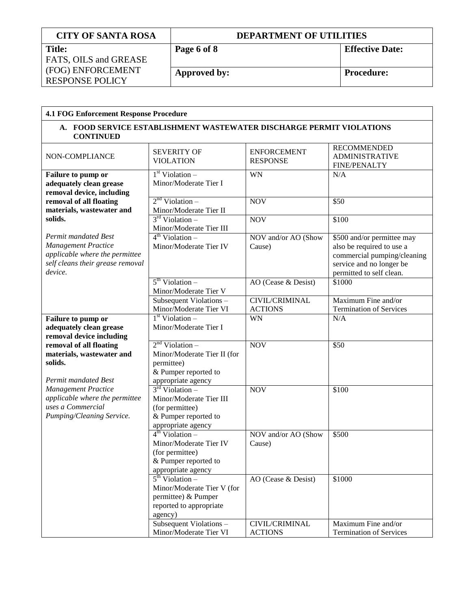| <b>CITY OF SANTA ROSA</b> | <b>DEPARTMENT OF UTILITIES</b> |                        |  |
|---------------------------|--------------------------------|------------------------|--|
| <b>Title:</b>             | Page 6 of 8                    | <b>Effective Date:</b> |  |
| FATS, OILS and GREASE     |                                |                        |  |
| (FOG) ENFORCEMENT         | Approved by:                   | <b>Procedure:</b>      |  |
| <b>RESPONSE POLICY</b>    |                                |                        |  |

| <b>4.1 FOG Enforcement Response Procedure</b>                                                                                       |                                                                                                                                                                    |                                         |                                                                                                                                                |  |  |
|-------------------------------------------------------------------------------------------------------------------------------------|--------------------------------------------------------------------------------------------------------------------------------------------------------------------|-----------------------------------------|------------------------------------------------------------------------------------------------------------------------------------------------|--|--|
| A. FOOD SERVICE ESTABLISHMENT WASTEWATER DISCHARGE PERMIT VIOLATIONS<br><b>CONTINUED</b>                                            |                                                                                                                                                                    |                                         |                                                                                                                                                |  |  |
| NON-COMPLIANCE                                                                                                                      | <b>SEVERITY OF</b><br><b>VIOLATION</b>                                                                                                                             | <b>ENFORCEMENT</b><br><b>RESPONSE</b>   | <b>RECOMMENDED</b><br><b>ADMINISTRATIVE</b><br><b>FINE/PENALTY</b>                                                                             |  |  |
| Failure to pump or<br>adequately clean grease<br>removal device, including                                                          | $1st$ Violation –<br>Minor/Moderate Tier I                                                                                                                         | WN                                      | N/A                                                                                                                                            |  |  |
| removal of all floating<br>materials, wastewater and                                                                                | 2 <sup>nd</sup> Violation –<br>Minor/Moderate Tier II                                                                                                              | <b>NOV</b>                              | \$50                                                                                                                                           |  |  |
| solids.                                                                                                                             | $3rd$ Violation –<br>Minor/Moderate Tier III                                                                                                                       | <b>NOV</b>                              | \$100                                                                                                                                          |  |  |
| Permit mandated Best<br><b>Management Practice</b><br>applicable where the permittee<br>self cleans their grease removal<br>device. | $4th$ Violation –<br>Minor/Moderate Tier IV                                                                                                                        | NOV and/or AO (Show<br>Cause)           | \$500 and/or permittee may<br>also be required to use a<br>commercial pumping/cleaning<br>service and no longer be<br>permitted to self clean. |  |  |
|                                                                                                                                     | $5th$ Violation –<br>Minor/Moderate Tier V                                                                                                                         | AO (Cease & Desist)                     | \$1000                                                                                                                                         |  |  |
|                                                                                                                                     | Subsequent Violations -<br>Minor/Moderate Tier VI                                                                                                                  | <b>CIVIL/CRIMINAL</b><br><b>ACTIONS</b> | Maximum Fine and/or<br><b>Termination of Services</b>                                                                                          |  |  |
| Failure to pump or<br>adequately clean grease<br>removal device including                                                           | 1 <sup>st</sup> Violation –<br>Minor/Moderate Tier I                                                                                                               | <b>WN</b>                               | N/A                                                                                                                                            |  |  |
| removal of all floating<br>materials, wastewater and<br>solids.<br>Permit mandated Best                                             | $2nd$ Violation –<br>Minor/Moderate Tier II (for<br>permittee)<br>& Pumper reported to                                                                             | <b>NOV</b>                              | $\overline{$}50$                                                                                                                               |  |  |
| <b>Management Practice</b><br>applicable where the permittee<br>uses a Commercial<br>Pumping/Cleaning Service.                      | appropriate agency<br>$3rd$ Violation –<br>Minor/Moderate Tier III<br>(for permittee)<br>& Pumper reported to<br>appropriate agency<br>$4^{\text{th}}$ Violation – | <b>NOV</b>                              | \$100                                                                                                                                          |  |  |
|                                                                                                                                     | Minor/Moderate Tier IV<br>(for permittee)<br>& Pumper reported to<br>appropriate agency                                                                            | NOV and/or AO (Show<br>Cause)           | \$500                                                                                                                                          |  |  |
|                                                                                                                                     | $5th$ Violation –<br>Minor/Moderate Tier V (for<br>permittee) & Pumper<br>reported to appropriate<br>agency)<br>Subsequent Violations -                            | AO (Cease & Desist)<br>CIVIL/CRIMINAL   | \$1000<br>Maximum Fine and/or                                                                                                                  |  |  |
|                                                                                                                                     | Minor/Moderate Tier VI                                                                                                                                             | <b>ACTIONS</b>                          | <b>Termination of Services</b>                                                                                                                 |  |  |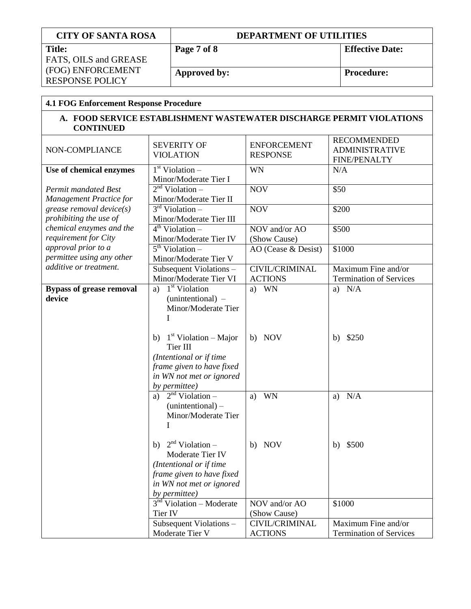| <b>CITY OF SANTA ROSA</b>                                                                |                                                                      | <b>DEPARTMENT OF UTILITIES</b>              |                       |                       |                                |  |
|------------------------------------------------------------------------------------------|----------------------------------------------------------------------|---------------------------------------------|-----------------------|-----------------------|--------------------------------|--|
| <b>Title:</b>                                                                            |                                                                      | Page 7 of 8                                 |                       |                       | <b>Effective Date:</b>         |  |
| FATS, OILS and GREASE<br>(FOG) ENFORCEMENT                                               |                                                                      |                                             |                       |                       |                                |  |
|                                                                                          |                                                                      | Approved by:                                |                       |                       | <b>Procedure:</b>              |  |
| <b>RESPONSE POLICY</b>                                                                   |                                                                      |                                             |                       |                       |                                |  |
| <b>4.1 FOG Enforcement Response Procedure</b>                                            |                                                                      |                                             |                       |                       |                                |  |
|                                                                                          |                                                                      |                                             |                       |                       |                                |  |
| A. FOOD SERVICE ESTABLISHMENT WASTEWATER DISCHARGE PERMIT VIOLATIONS<br><b>CONTINUED</b> |                                                                      |                                             |                       |                       |                                |  |
|                                                                                          | <b>SEVERITY OF</b>                                                   |                                             | <b>ENFORCEMENT</b>    |                       | <b>RECOMMENDED</b>             |  |
| NON-COMPLIANCE                                                                           |                                                                      | <b>VIOLATION</b>                            | <b>RESPONSE</b>       | <b>ADMINISTRATIVE</b> |                                |  |
|                                                                                          |                                                                      |                                             |                       |                       | <b>FINE/PENALTY</b>            |  |
| Use of chemical enzymes                                                                  |                                                                      | $1st$ Violation –                           | <b>WN</b>             | N/A                   |                                |  |
|                                                                                          |                                                                      | Minor/Moderate Tier I<br>$2nd$ Violation –  |                       |                       |                                |  |
| <b>Permit mandated Best</b>                                                              |                                                                      |                                             | <b>NOV</b>            | \$50                  |                                |  |
| Management Practice for<br>grease removal device $(s)$                                   |                                                                      | Minor/Moderate Tier II<br>$3rd$ Violation – | <b>NOV</b>            |                       | \$200                          |  |
| prohibiting the use of                                                                   |                                                                      | Minor/Moderate Tier III                     |                       |                       |                                |  |
| chemical enzymes and the                                                                 |                                                                      | $4th$ Violation –                           | NOV and/or AO         |                       | \$500                          |  |
| requirement for City                                                                     |                                                                      |                                             | (Show Cause)          |                       |                                |  |
| approval prior to a                                                                      | Minor/Moderate Tier IV<br>$5th$ Violation –<br>Minor/Moderate Tier V |                                             | AO (Cease & Desist)   |                       | \$1000                         |  |
| permittee using any other                                                                |                                                                      |                                             |                       |                       |                                |  |
| additive or treatment.                                                                   |                                                                      | Subsequent Violations-                      | <b>CIVIL/CRIMINAL</b> |                       | Maximum Fine and/or            |  |
|                                                                                          |                                                                      | Minor/Moderate Tier VI                      | <b>ACTIONS</b>        |                       | <b>Termination of Services</b> |  |
| <b>Bypass of grease removal</b>                                                          |                                                                      | a) $1st$ Violation                          | a) WN                 |                       | a) $N/A$                       |  |
| device                                                                                   |                                                                      | (unintentional) -                           |                       |                       |                                |  |
|                                                                                          |                                                                      | Minor/Moderate Tier                         |                       |                       |                                |  |
|                                                                                          | I                                                                    |                                             |                       |                       |                                |  |
|                                                                                          |                                                                      |                                             |                       |                       |                                |  |
|                                                                                          |                                                                      | b) $1st Violation – Major$                  | b) NOV                | b)                    | \$250                          |  |
|                                                                                          |                                                                      | Tier III                                    |                       |                       |                                |  |
|                                                                                          |                                                                      | (Intentional or if time                     |                       |                       |                                |  |
|                                                                                          |                                                                      | frame given to have fixed                   |                       |                       |                                |  |
|                                                                                          |                                                                      | in WN not met or ignored                    |                       |                       |                                |  |
|                                                                                          |                                                                      | by permittee)                               |                       |                       |                                |  |
|                                                                                          |                                                                      | a) $2nd Violation –$                        | WN<br>a)              | a)                    | N/A                            |  |
|                                                                                          |                                                                      | $(unintentional)$ –                         |                       |                       |                                |  |
|                                                                                          |                                                                      | Minor/Moderate Tier                         |                       |                       |                                |  |
|                                                                                          |                                                                      |                                             |                       |                       |                                |  |
|                                                                                          | b)                                                                   | $2nd$ Violation –                           | <b>NOV</b><br>b)      |                       | b) $$500$                      |  |
|                                                                                          |                                                                      | Moderate Tier IV                            |                       |                       |                                |  |
|                                                                                          |                                                                      | (Intentional or if time                     |                       |                       |                                |  |
|                                                                                          |                                                                      | frame given to have fixed                   |                       |                       |                                |  |
|                                                                                          |                                                                      | in WN not met or ignored                    |                       |                       |                                |  |
|                                                                                          |                                                                      | by permittee)                               |                       |                       |                                |  |
|                                                                                          |                                                                      | $3nd$ Violation – Moderate                  | NOV and/or AO         |                       | \$1000                         |  |
|                                                                                          | Tier IV                                                              |                                             | (Show Cause)          |                       |                                |  |
|                                                                                          |                                                                      | Subsequent Violations -                     | CIVIL/CRIMINAL        |                       | Maximum Fine and/or            |  |
|                                                                                          |                                                                      | Moderate Tier V                             | <b>ACTIONS</b>        |                       | <b>Termination of Services</b> |  |